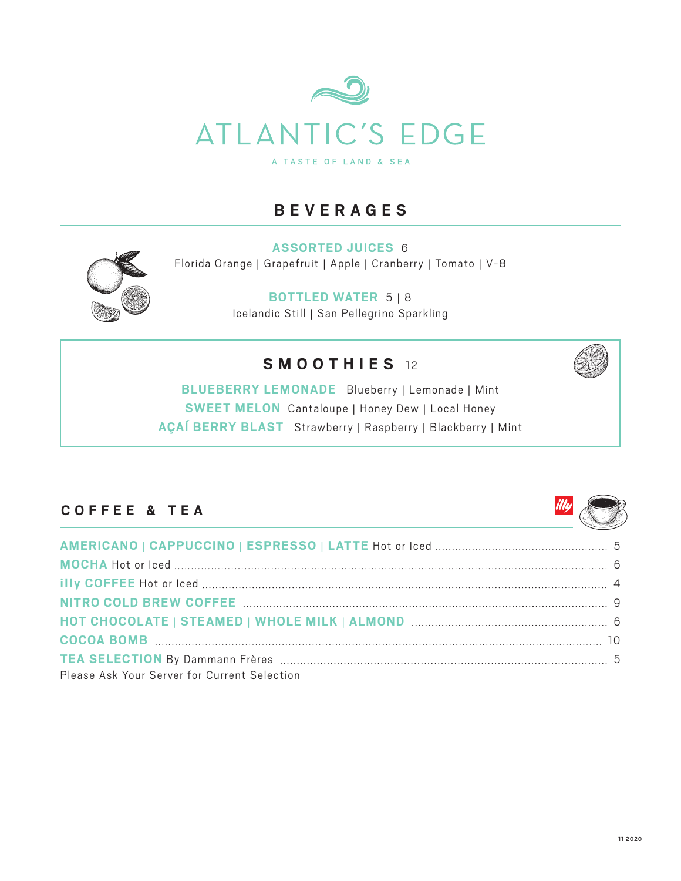

# **Beverages**

**Assorted Juices** 6 Florida Orange | Grapefruit | Apple | Cranberry | Tomato | V-8

> **BOTTLED WATER** 5 | 8 Icelandic Still | San Pellegrino Sparkling

# **smoothies** 12

**BLUEBERRY LEMONADE** Blueberry | Lemonade | Mint **Sweet Melon** Cantaloupe | Honey Dew | Local Honey **AÇAÍ BERRY BLAST** Strawberry | Raspberry | Blackberry | Mint

## **coffee & tea**

| Please Ask Your Server for Current Selection |  |
|----------------------------------------------|--|